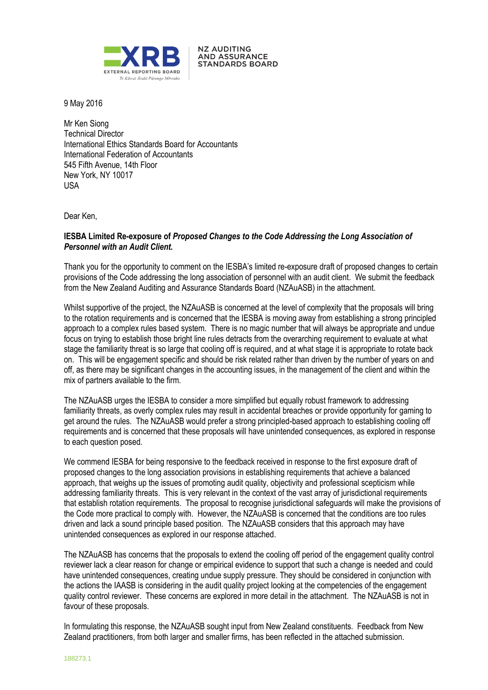

**NZ AUDITING AND ASSURANCE STANDARDS BOARD** 

9 May 2016

Mr Ken Siong Technical Director International Ethics Standards Board for Accountants International Federation of Accountants 545 Fifth Avenue, 14th Floor New York, NY 10017 USA

Dear Ken,

### **IESBA Limited Re-exposure of** *Proposed Changes to the Code Addressing the Long Association of Personnel with an Audit Client***.**

Thank you for the opportunity to comment on the IESBA's limited re-exposure draft of proposed changes to certain provisions of the Code addressing the long association of personnel with an audit client. We submit the feedback from the New Zealand Auditing and Assurance Standards Board (NZAuASB) in the attachment.

Whilst supportive of the project, the NZAuASB is concerned at the level of complexity that the proposals will bring to the rotation requirements and is concerned that the IESBA is moving away from establishing a strong principled approach to a complex rules based system. There is no magic number that will always be appropriate and undue focus on trying to establish those bright line rules detracts from the overarching requirement to evaluate at what stage the familiarity threat is so large that cooling off is required, and at what stage it is appropriate to rotate back on. This will be engagement specific and should be risk related rather than driven by the number of years on and off, as there may be significant changes in the accounting issues, in the management of the client and within the mix of partners available to the firm.

The NZAuASB urges the IESBA to consider a more simplified but equally robust framework to addressing familiarity threats, as overly complex rules may result in accidental breaches or provide opportunity for gaming to get around the rules. The NZAuASB would prefer a strong principled-based approach to establishing cooling off requirements and is concerned that these proposals will have unintended consequences, as explored in response to each question posed.

We commend IESBA for being responsive to the feedback received in response to the first exposure draft of proposed changes to the long association provisions in establishing requirements that achieve a balanced approach, that weighs up the issues of promoting audit quality, objectivity and professional scepticism while addressing familiarity threats. This is very relevant in the context of the vast array of jurisdictional requirements that establish rotation requirements. The proposal to recognise jurisdictional safeguards will make the provisions of the Code more practical to comply with. However, the NZAuASB is concerned that the conditions are too rules driven and lack a sound principle based position. The NZAuASB considers that this approach may have unintended consequences as explored in our response attached.

The NZAuASB has concerns that the proposals to extend the cooling off period of the engagement quality control reviewer lack a clear reason for change or empirical evidence to support that such a change is needed and could have unintended consequences, creating undue supply pressure. They should be considered in conjunction with the actions the IAASB is considering in the audit quality project looking at the competencies of the engagement quality control reviewer. These concerns are explored in more detail in the attachment. The NZAuASB is not in favour of these proposals.

In formulating this response, the NZAuASB sought input from New Zealand constituents. Feedback from New Zealand practitioners, from both larger and smaller firms, has been reflected in the attached submission.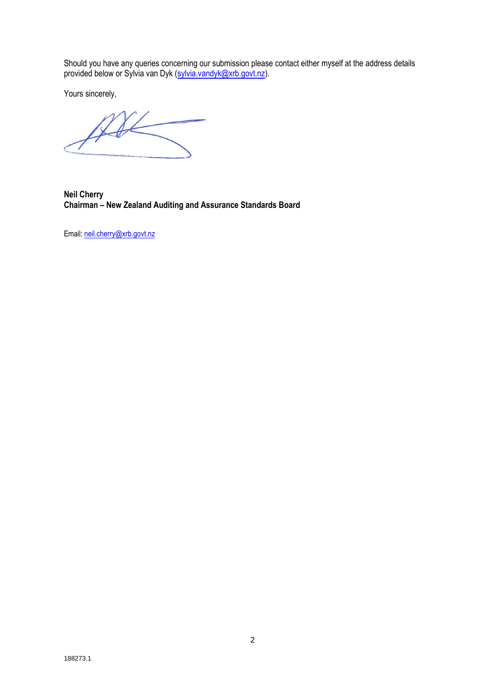Should you have any queries concerning our submission please contact either myself at the address details provided below or Sylvia van Dyk (sylvia.vandyk@xrb.govt.nz).

Yours sincerely,

**Neil Cherry Chairman – New Zealand Auditing and Assurance Standards Board**

Email: [neil.cherry@xrb.govt.nz](mailto:neil.cherry@xrb.govt.nz)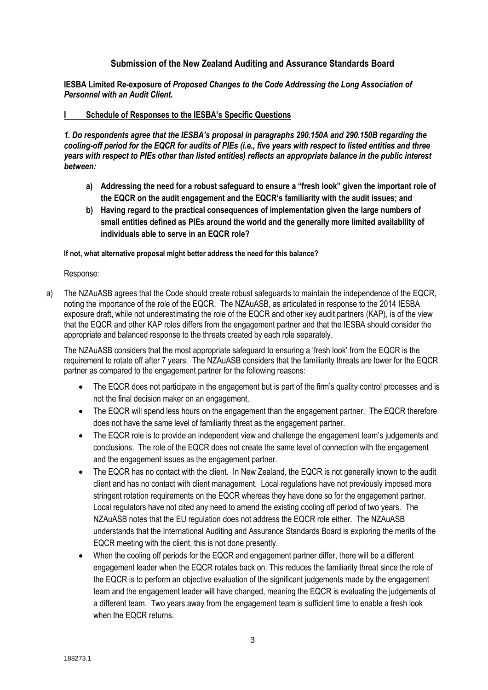# **Submission of the New Zealand Auditing and Assurance Standards Board**

**IESBA Limited Re-exposure of** *Proposed Changes to the Code Addressing the Long Association of Personnel with an Audit Client***.**

#### **I Schedule of Responses to the IESBA's Specific Questions**

*1. Do respondents agree that the IESBA's proposal in paragraphs 290.150A and 290.150B regarding the cooling-off period for the EQCR for audits of PIEs (i.e., five years with respect to listed entities and three years with respect to PIEs other than listed entities) reflects an appropriate balance in the public interest between:*

- **a) Addressing the need for a robust safeguard to ensure a "fresh look" given the important role of the EQCR on the audit engagement and the EQCR's familiarity with the audit issues; and**
- **b) Having regard to the practical consequences of implementation given the large numbers of small entities defined as PIEs around the world and the generally more limited availability of individuals able to serve in an EQCR role?**

#### **If not, what alternative proposal might better address the need for this balance?**

Response:

a) The NZAuASB agrees that the Code should create robust safeguards to maintain the independence of the EQCR, noting the importance of the role of the EQCR. The NZAuASB, as articulated in response to the 2014 IESBA exposure draft, while not underestimating the role of the EQCR and other key audit partners (KAP), is of the view that the EQCR and other KAP roles differs from the engagement partner and that the IESBA should consider the appropriate and balanced response to the threats created by each role separately.

The NZAuASB considers that the most appropriate safeguard to ensuring a 'fresh look' from the EQCR is the requirement to rotate off after 7 years. The NZAuASB considers that the familiarity threats are lower for the EQCR partner as compared to the engagement partner for the following reasons:

- The EQCR does not participate in the engagement but is part of the firm's quality control processes and is not the final decision maker on an engagement.
- The EQCR will spend less hours on the engagement than the engagement partner. The EQCR therefore does not have the same level of familiarity threat as the engagement partner.
- The EQCR role is to provide an independent view and challenge the engagement team's judgements and conclusions. The role of the EQCR does not create the same level of connection with the engagement and the engagement issues as the engagement partner.
- The EQCR has no contact with the client. In New Zealand, the EQCR is not generally known to the audit client and has no contact with client management. Local regulations have not previously imposed more stringent rotation requirements on the EQCR whereas they have done so for the engagement partner. Local regulators have not cited any need to amend the existing cooling off period of two years. The NZAuASB notes that the EU regulation does not address the EQCR role either. The NZAuASB understands that the International Auditing and Assurance Standards Board is exploring the merits of the EQCR meeting with the client, this is not done presently.
- When the cooling off periods for the EQCR and engagement partner differ, there will be a different engagement leader when the EQCR rotates back on. This reduces the familiarity threat since the role of the EQCR is to perform an objective evaluation of the significant judgements made by the engagement team and the engagement leader will have changed, meaning the EQCR is evaluating the judgements of a different team. Two years away from the engagement team is sufficient time to enable a fresh look when the EQCR returns.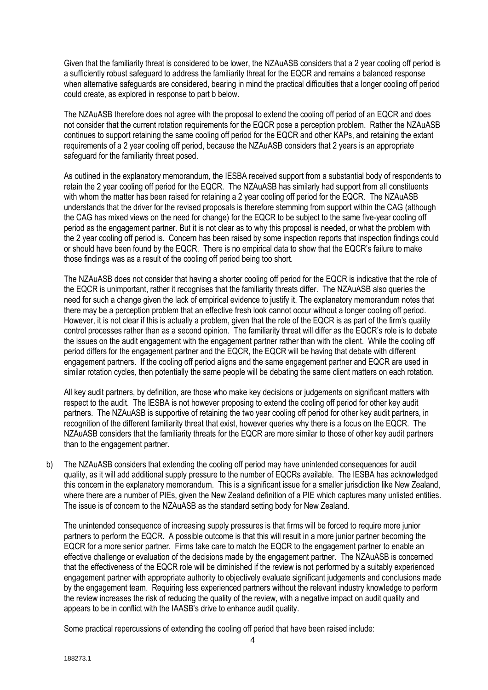Given that the familiarity threat is considered to be lower, the NZAuASB considers that a 2 year cooling off period is a sufficiently robust safeguard to address the familiarity threat for the EQCR and remains a balanced response when alternative safeguards are considered, bearing in mind the practical difficulties that a longer cooling off period could create, as explored in response to part b below.

The NZAuASB therefore does not agree with the proposal to extend the cooling off period of an EQCR and does not consider that the current rotation requirements for the EQCR pose a perception problem. Rather the NZAuASB continues to support retaining the same cooling off period for the EQCR and other KAPs, and retaining the extant requirements of a 2 year cooling off period, because the NZAuASB considers that 2 years is an appropriate safeguard for the familiarity threat posed.

As outlined in the explanatory memorandum, the IESBA received support from a substantial body of respondents to retain the 2 year cooling off period for the EQCR. The NZAuASB has similarly had support from all constituents with whom the matter has been raised for retaining a 2 year cooling off period for the EQCR. The NZAuASB understands that the driver for the revised proposals is therefore stemming from support within the CAG (although the CAG has mixed views on the need for change) for the EQCR to be subject to the same five-year cooling off period as the engagement partner. But it is not clear as to why this proposal is needed, or what the problem with the 2 year cooling off period is. Concern has been raised by some inspection reports that inspection findings could or should have been found by the EQCR. There is no empirical data to show that the EQCR's failure to make those findings was as a result of the cooling off period being too short.

The NZAuASB does not consider that having a shorter cooling off period for the EQCR is indicative that the role of the EQCR is unimportant, rather it recognises that the familiarity threats differ. The NZAuASB also queries the need for such a change given the lack of empirical evidence to justify it. The explanatory memorandum notes that there may be a perception problem that an effective fresh look cannot occur without a longer cooling off period. However, it is not clear if this is actually a problem, given that the role of the EQCR is as part of the firm's quality control processes rather than as a second opinion. The familiarity threat will differ as the EQCR's role is to debate the issues on the audit engagement with the engagement partner rather than with the client. While the cooling off period differs for the engagement partner and the EQCR, the EQCR will be having that debate with different engagement partners. If the cooling off period aligns and the same engagement partner and EQCR are used in similar rotation cycles, then potentially the same people will be debating the same client matters on each rotation.

All key audit partners, by definition, are those who make key decisions or judgements on significant matters with respect to the audit. The IESBA is not however proposing to extend the cooling off period for other key audit partners. The NZAuASB is supportive of retaining the two year cooling off period for other key audit partners, in recognition of the different familiarity threat that exist, however queries why there is a focus on the EQCR. The NZAuASB considers that the familiarity threats for the EQCR are more similar to those of other key audit partners than to the engagement partner.

b) The NZAuASB considers that extending the cooling off period may have unintended consequences for audit quality, as it will add additional supply pressure to the number of EQCRs available. The IESBA has acknowledged this concern in the explanatory memorandum. This is a significant issue for a smaller jurisdiction like New Zealand, where there are a number of PIEs, given the New Zealand definition of a PIE which captures many unlisted entities. The issue is of concern to the NZAuASB as the standard setting body for New Zealand.

The unintended consequence of increasing supply pressures is that firms will be forced to require more junior partners to perform the EQCR. A possible outcome is that this will result in a more junior partner becoming the EQCR for a more senior partner. Firms take care to match the EQCR to the engagement partner to enable an effective challenge or evaluation of the decisions made by the engagement partner. The NZAuASB is concerned that the effectiveness of the EQCR role will be diminished if the review is not performed by a suitably experienced engagement partner with appropriate authority to objectively evaluate significant judgements and conclusions made by the engagement team. Requiring less experienced partners without the relevant industry knowledge to perform the review increases the risk of reducing the quality of the review, with a negative impact on audit quality and appears to be in conflict with the IAASB's drive to enhance audit quality.

Some practical repercussions of extending the cooling off period that have been raised include: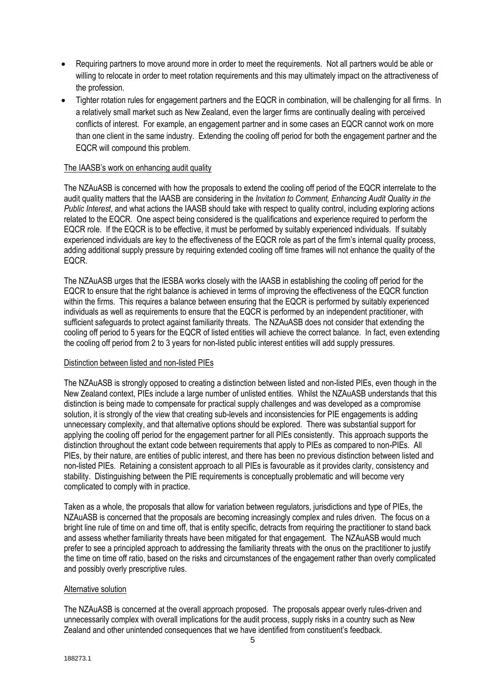- Requiring partners to move around more in order to meet the requirements. Not all partners would be able or willing to relocate in order to meet rotation requirements and this may ultimately impact on the attractiveness of the profession.
- Tighter rotation rules for engagement partners and the EQCR in combination, will be challenging for all firms. In a relatively small market such as New Zealand, even the larger firms are continually dealing with perceived conflicts of interest. For example, an engagement partner and in some cases an EQCR cannot work on more than one client in the same industry. Extending the cooling off period for both the engagement partner and the EQCR will compound this problem.

### The IAASB's work on enhancing audit quality

The NZAuASB is concerned with how the proposals to extend the cooling off period of the EQCR interrelate to the audit quality matters that the IAASB are considering in the *Invitation to Comment, Enhancing Audit Quality in the Public Interest*, and what actions the IAASB should take with respect to quality control, including exploring actions related to the EQCR. One aspect being considered is the qualifications and experience required to perform the EQCR role. If the EQCR is to be effective, it must be performed by suitably experienced individuals. If suitably experienced individuals are key to the effectiveness of the EQCR role as part of the firm's internal quality process, adding additional supply pressure by requiring extended cooling off time frames will not enhance the quality of the EQCR.

The NZAuASB urges that the IESBA works closely with the IAASB in establishing the cooling off period for the EQCR to ensure that the right balance is achieved in terms of improving the effectiveness of the EQCR function within the firms. This requires a balance between ensuring that the EQCR is performed by suitably experienced individuals as well as requirements to ensure that the EQCR is performed by an independent practitioner, with sufficient safeguards to protect against familiarity threats. The NZAuASB does not consider that extending the cooling off period to 5 years for the EQCR of listed entities will achieve the correct balance. In fact, even extending the cooling off period from 2 to 3 years for non-listed public interest entities will add supply pressures.

#### Distinction between listed and non-listed PIEs

The NZAuASB is strongly opposed to creating a distinction between listed and non-listed PIEs, even though in the New Zealand context, PIEs include a large number of unlisted entities. Whilst the NZAuASB understands that this distinction is being made to compensate for practical supply challenges and was developed as a compromise solution, it is strongly of the view that creating sub-levels and inconsistencies for PIE engagements is adding unnecessary complexity, and that alternative options should be explored. There was substantial support for applying the cooling off period for the engagement partner for all PIEs consistently. This approach supports the distinction throughout the extant code between requirements that apply to PIEs as compared to non-PIEs. All PIEs, by their nature, are entities of public interest, and there has been no previous distinction between listed and non-listed PIEs. Retaining a consistent approach to all PIEs is favourable as it provides clarity, consistency and stability. Distinguishing between the PIE requirements is conceptually problematic and will become very complicated to comply with in practice.

Taken as a whole, the proposals that allow for variation between regulators, jurisdictions and type of PIEs, the NZAuASB is concerned that the proposals are becoming increasingly complex and rules driven. The focus on a bright line rule of time on and time off, that is entity specific, detracts from requiring the practitioner to stand back and assess whether familiarity threats have been mitigated for that engagement. The NZAuASB would much prefer to see a principled approach to addressing the familiarity threats with the onus on the practitioner to justify the time on time off ratio, based on the risks and circumstances of the engagement rather than overly complicated and possibly overly prescriptive rules.

#### Alternative solution

The NZAuASB is concerned at the overall approach proposed. The proposals appear overly rules-driven and unnecessarily complex with overall implications for the audit process, supply risks in a country such as New Zealand and other unintended consequences that we have identified from constituent's feedback.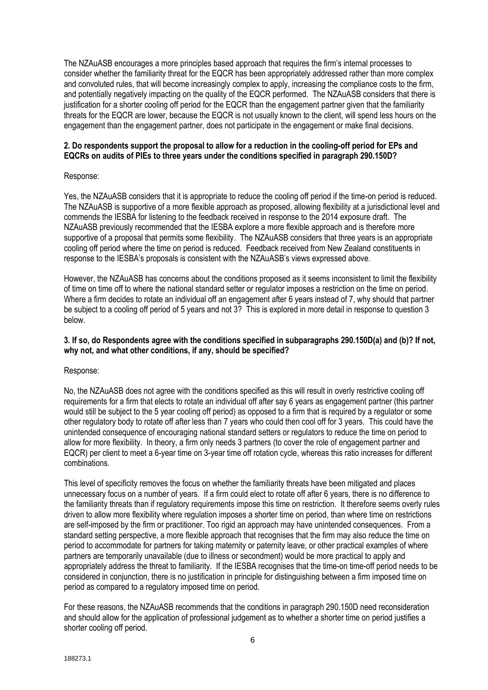The NZAuASB encourages a more principles based approach that requires the firm's internal processes to consider whether the familiarity threat for the EQCR has been appropriately addressed rather than more complex and convoluted rules, that will become increasingly complex to apply, increasing the compliance costs to the firm, and potentially negatively impacting on the quality of the EQCR performed. The NZAuASB considers that there is justification for a shorter cooling off period for the EQCR than the engagement partner given that the familiarity threats for the EQCR are lower, because the EQCR is not usually known to the client, will spend less hours on the engagement than the engagement partner, does not participate in the engagement or make final decisions.

### **2. Do respondents support the proposal to allow for a reduction in the cooling-off period for EPs and EQCRs on audits of PIEs to three years under the conditions specified in paragraph 290.150D?**

#### Response:

Yes, the NZAuASB considers that it is appropriate to reduce the cooling off period if the time-on period is reduced. The NZAuASB is supportive of a more flexible approach as proposed, allowing flexibility at a jurisdictional level and commends the IESBA for listening to the feedback received in response to the 2014 exposure draft. The NZAuASB previously recommended that the IESBA explore a more flexible approach and is therefore more supportive of a proposal that permits some flexibility. The NZAuASB considers that three years is an appropriate cooling off period where the time on period is reduced. Feedback received from New Zealand constituents in response to the IESBA's proposals is consistent with the NZAuASB's views expressed above.

However, the NZAuASB has concerns about the conditions proposed as it seems inconsistent to limit the flexibility of time on time off to where the national standard setter or regulator imposes a restriction on the time on period. Where a firm decides to rotate an individual off an engagement after 6 years instead of 7, why should that partner be subject to a cooling off period of 5 years and not 3? This is explored in more detail in response to question 3 below.

#### **3. If so, do Respondents agree with the conditions specified in subparagraphs 290.150D(a) and (b)? If not, why not, and what other conditions, if any, should be specified?**

Response:

No, the NZAuASB does not agree with the conditions specified as this will result in overly restrictive cooling off requirements for a firm that elects to rotate an individual off after say 6 years as engagement partner (this partner would still be subject to the 5 year cooling off period) as opposed to a firm that is required by a regulator or some other regulatory body to rotate off after less than 7 years who could then cool off for 3 years. This could have the unintended consequence of encouraging national standard setters or regulators to reduce the time on period to allow for more flexibility. In theory, a firm only needs 3 partners (to cover the role of engagement partner and EQCR) per client to meet a 6-year time on 3-year time off rotation cycle, whereas this ratio increases for different combinations.

This level of specificity removes the focus on whether the familiarity threats have been mitigated and places unnecessary focus on a number of years. If a firm could elect to rotate off after 6 years, there is no difference to the familiarity threats than if regulatory requirements impose this time on restriction. It therefore seems overly rules driven to allow more flexibility where regulation imposes a shorter time on period, than where time on restrictions are self-imposed by the firm or practitioner. Too rigid an approach may have unintended consequences. From a standard setting perspective, a more flexible approach that recognises that the firm may also reduce the time on period to accommodate for partners for taking maternity or paternity leave, or other practical examples of where partners are temporarily unavailable (due to illness or secondment) would be more practical to apply and appropriately address the threat to familiarity. If the IESBA recognises that the time-on time-off period needs to be considered in conjunction, there is no justification in principle for distinguishing between a firm imposed time on period as compared to a regulatory imposed time on period.

For these reasons, the NZAuASB recommends that the conditions in paragraph 290.150D need reconsideration and should allow for the application of professional judgement as to whether a shorter time on period justifies a shorter cooling off period.

6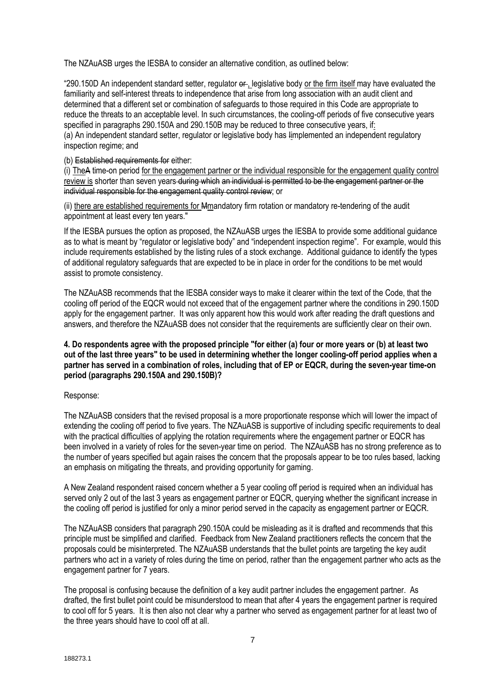The NZAuASB urges the IESBA to consider an alternative condition, as outlined below:

"290.150D An independent standard setter, regulator  $er_1$  legislative body or the firm itself may have evaluated the familiarity and self-interest threats to independence that arise from long association with an audit client and determined that a different set or combination of safeguards to those required in this Code are appropriate to reduce the threats to an acceptable level. In such circumstances, the cooling-off periods of five consecutive years specified in paragraphs 290.150A and 290.150B may be reduced to three consecutive years, if: (a) An independent standard setter, regulator or legislative body has Iimplemented an independent regulatory inspection regime; and

(b) Established requirements for either:

(i) TheA time-on period for the engagement partner or the individual responsible for the engagement quality control review is shorter than seven years during which an individual is permitted to be the engagement partner or the individual responsible for the engagement quality control review; or

(ii) there are established requirements for Mmandatory firm rotation or mandatory re-tendering of the audit appointment at least every ten years."

If the IESBA pursues the option as proposed, the NZAuASB urges the IESBA to provide some additional guidance as to what is meant by "regulator or legislative body" and "independent inspection regime". For example, would this include requirements established by the listing rules of a stock exchange. Additional guidance to identify the types of additional regulatory safeguards that are expected to be in place in order for the conditions to be met would assist to promote consistency.

The NZAuASB recommends that the IESBA consider ways to make it clearer within the text of the Code, that the cooling off period of the EQCR would not exceed that of the engagement partner where the conditions in 290.150D apply for the engagement partner. It was only apparent how this would work after reading the draft questions and answers, and therefore the NZAuASB does not consider that the requirements are sufficiently clear on their own.

### **4. Do respondents agree with the proposed principle "for either (a) four or more years or (b) at least two out of the last three years" to be used in determining whether the longer cooling-off period applies when a partner has served in a combination of roles, including that of EP or EQCR, during the seven-year time-on period (paragraphs 290.150A and 290.150B)?**

## Response:

The NZAuASB considers that the revised proposal is a more proportionate response which will lower the impact of extending the cooling off period to five years. The NZAuASB is supportive of including specific requirements to deal with the practical difficulties of applying the rotation requirements where the engagement partner or EQCR has been involved in a variety of roles for the seven-year time on period. The NZAuASB has no strong preference as to the number of years specified but again raises the concern that the proposals appear to be too rules based, lacking an emphasis on mitigating the threats, and providing opportunity for gaming.

A New Zealand respondent raised concern whether a 5 year cooling off period is required when an individual has served only 2 out of the last 3 years as engagement partner or EQCR, querying whether the significant increase in the cooling off period is justified for only a minor period served in the capacity as engagement partner or EQCR.

The NZAuASB considers that paragraph 290.150A could be misleading as it is drafted and recommends that this principle must be simplified and clarified. Feedback from New Zealand practitioners reflects the concern that the proposals could be misinterpreted. The NZAuASB understands that the bullet points are targeting the key audit partners who act in a variety of roles during the time on period, rather than the engagement partner who acts as the engagement partner for 7 years.

The proposal is confusing because the definition of a key audit partner includes the engagement partner. As drafted, the first bullet point could be misunderstood to mean that after 4 years the engagement partner is required to cool off for 5 years. It is then also not clear why a partner who served as engagement partner for at least two of the three years should have to cool off at all.